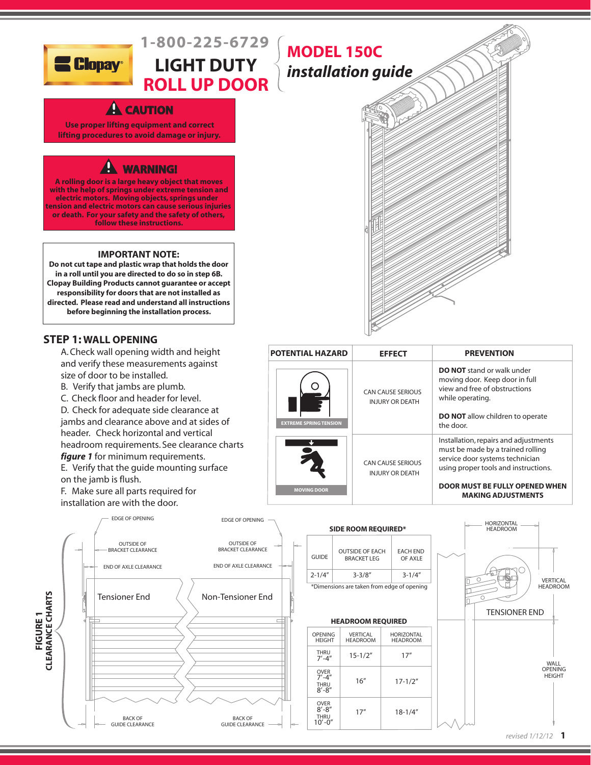

# **1-800-225-6729 LIGHT DUTY**

# **ROLL UP DOOR**

# **A** CAUTION

**Use proper lifting equipment and correct lifting procedures to avoid damage or injury.**

# **A WARNING!**

**A rolling door is a large heavy object that moves with the help of springs under extreme tension and follow these instructions. electric motors. Moving objects, springs under tension and electric motors can cause serious injuries or death. For your safety and the safety of others,**

#### **IMPORTANT NOTE:**

**Do not cut tape and plastic wrap that holds the door in a roll until you are directed to do so in step 6B. Clopay Building Products cannot guarantee or accept responsibility for doors that are not installed as directed. Please read and understand all instructions before beginning the installation process.**

#### **STEP 1: WALL OPENING**

 A. Check wall opening width and height and verify these measurements against size of door to be installed.

- B. Verify that jambs are plumb.
- C. Check floor and header for level.

 D. Check for adequate side clearance at jambs and clearance above and at sides of header. Check horizontal and vertical headroom requirements. See clearance charts  *figure 1* for minimum requirements.

 E. Verify that the guide mounting surface on the jamb is flush.

 F. Make sure all parts required for installation are with the door.



# **MODEL 150C** *installation guide*



| <b>POTENTIAL HAZARD</b>       | <b>EFFECT</b>                                      | <b>PREVENTION</b>                                                                                                                                                                |
|-------------------------------|----------------------------------------------------|----------------------------------------------------------------------------------------------------------------------------------------------------------------------------------|
| <b>EXTREME SPRING TENSION</b> | <b>CAN CAUSE SERIOUS</b><br><b>INJURY OR DEATH</b> | <b>DO NOT</b> stand or walk under<br>moving door. Keep door in full<br>view and free of obstructions<br>while operating.<br><b>DO NOT</b> allow children to operate<br>the door. |
|                               | <b>CAN CAUSE SERIOUS</b><br><b>INJURY OR DEATH</b> | Installation, repairs and adjustments<br>must be made by a trained rolling<br>service door systems technician<br>using proper tools and instructions.                            |
| <b>MOVING DOOR</b>            |                                                    | <b>DOOR MUST BE FULLY OPENED WHEN</b><br><b>MAKING ADJUSTMENTS</b>                                                                                                               |

| <b>SIDE ROOM REQUIRED*</b> |                                               |                             |  |  |  |
|----------------------------|-----------------------------------------------|-----------------------------|--|--|--|
| GUIDE                      | <b>OUTSIDE OF EACH</b><br><b>BRACKET I FG</b> | <b>EACH END</b><br>OF AXI F |  |  |  |
| $2 - 1/4''$                | $3 - 3/8''$                                   | $3 - 1/4''$                 |  |  |  |
|                            | *Dimensions are taken from edge of opening    |                             |  |  |  |

#### **HEADROOM REQUIRED**

| <b>OPENING</b><br><b>HEIGHT</b>                        | VERTICAL<br><b>HEADROOM</b> | <b>HORIZONTAL</b><br><b>HEADROOM</b> |
|--------------------------------------------------------|-----------------------------|--------------------------------------|
| THRU<br>$7' - 4''$                                     | $15 - 1/2"$                 | 17"                                  |
| <b>OVER</b><br>$7' - 4''$<br><b>THRU</b><br>$8' - 8''$ | 16''                        | $17 - 1/2"$                          |
| <b>OVER</b><br>$8' - 8''$<br>THRU<br>$10' - 0''$       | 17''                        | $18 - 1/4"$                          |

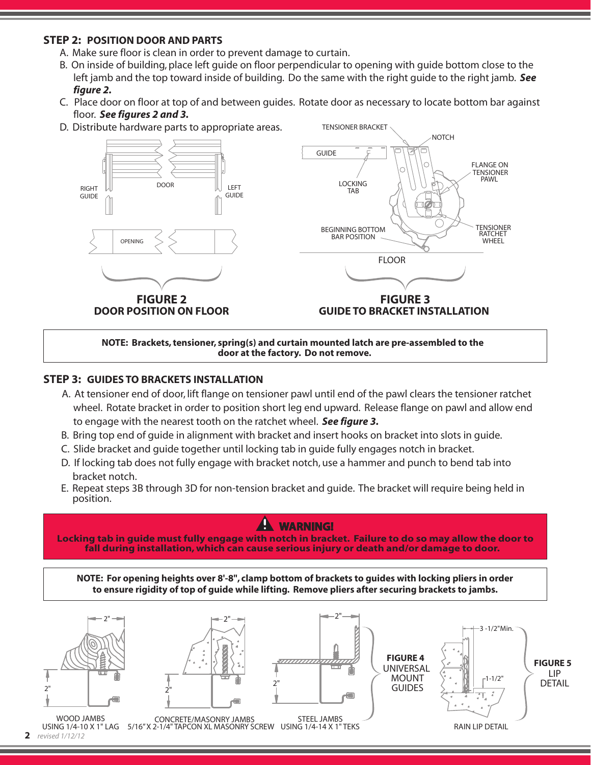#### **STEP 2: POSITION DOOR AND PARTS**

- A. Make sure floor is clean in order to prevent damage to curtain.
- B. On inside of building, place left guide on floor perpendicular to opening with guide bottom close to the left jamb and the top toward inside of building. Do the same with the right guide to the right jamb. *See figure 2.*
- C. Place door on floor at top of and between guides. Rotate door as necessary to locate bottom bar against floor. *See figures 2 and 3.*

TENSIONER BRACKET

D. Distribute hardware parts to appropriate areas.



**NOTE: Brackets, tensioner, spring(s) and curtain mounted latch are pre-assembled to the door at the factory. Do not remove.**

#### **STEP 3: GUIDES TO BRACKETS INSTALLATION**

- A. At tensioner end of door, lift flange on tensioner pawl until end of the pawl clears the tensioner ratchet wheel. Rotate bracket in order to position short leg end upward. Release flange on pawl and allow end to engage with the nearest tooth on the ratchet wheel. *See figure 3.*
- B. Bring top end of guide in alignment with bracket and insert hooks on bracket into slots in guide.
- C. Slide bracket and guide together until locking tab in guide fully engages notch in bracket.
- D. If locking tab does not fully engage with bracket notch, use a hammer and punch to bend tab into bracket notch.
- E. Repeat steps 3B through 3D for non-tension bracket and guide. The bracket will require being held in position.

### **WARNING!**

**Locking tab in guide must fully engage with notch in bracket. Failure to do so may allow the door to fall during installation, which can cause serious injury or death and/or damage to door.** 

**NOTE: For opening heights over 8'-8", clamp bottom of brackets to guides with locking pliers in order to ensure rigidity of top of guide while lifting. Remove pliers after securing brackets to jambs.**

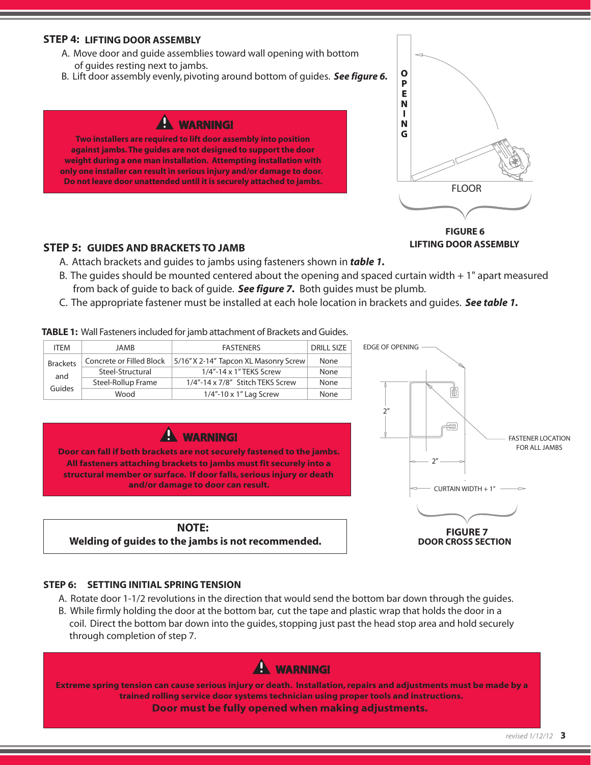#### **STEP 4: LIFTING DOOR ASSEMBLY**

- A. Move door and guide assemblies toward wall opening with bottom of guides resting next to jambs.
- B. Lift door assembly evenly, pivoting around bottom of guides. *See figure 6.*

## **A WARNING!**

**Two installers are required to lift door assembly into position against jambs. The guides are not designed to support the door weight during a one man installation. Attempting installation with only one installer can result in serious injury and/or damage to door. Do not leave door unattended until it is securely attached to jambs.**



**FIGURE 6 LIFTING DOOR ASSEMBLY**

#### **STEP 5: GUIDES AND BRACKETS TO JAMB**

- A. Attach brackets and guides to jambs using fasteners shown in *table 1.*
- B. The guides should be mounted centered about the opening and spaced curtain width  $+1$ " apart measured from back of guide to back of guide. *See figure 7.* Both guides must be plumb.
- C. The appropriate fastener must be installed at each hole location in brackets and guides. *See table 1.*

#### **TABLE 1:** Wall Fasteners included for jamb attachment of Brackets and Guides.

| <b>ITFM</b>     | <b>JAMB</b>              | <b>FASTENERS</b>                      | <b>DRILL SIZE</b> |
|-----------------|--------------------------|---------------------------------------|-------------------|
| <b>Brackets</b> | Concrete or Filled Block | 5/16" X 2-14" Tapcon XL Masonry Screw | None              |
| and             | Steel-Structural         | 1/4"-14 x 1" TEKS Screw               | None              |
| Guides          | Steel-Rollup Frame       | 1/4"-14 x 7/8" Stitch TEKS Screw      | None              |
|                 | Wood                     | $1/4$ "-10 x 1" Lag Screw             | None              |



**Door can fall if both brackets are not securely fastened to the jambs. All fasteners attaching brackets to jambs must fit securely into a structural member or surface. If door falls, serious injury or death and/or damage to door can result.**

**NOTE: Welding of guides to the jambs is not recommended.**



#### **STEP 6: SETTING INITIAL SPRING TENSION**

- A. Rotate door 1-1/2 revolutions in the direction that would send the bottom bar down through the guides.
- coil. Direct the bottom bar down into the guides, stopping just past the head stop area and hold securely through completion of step 7. B. While firmly holding the door at the bottom bar, cut the tape and plastic wrap that holds the door in a

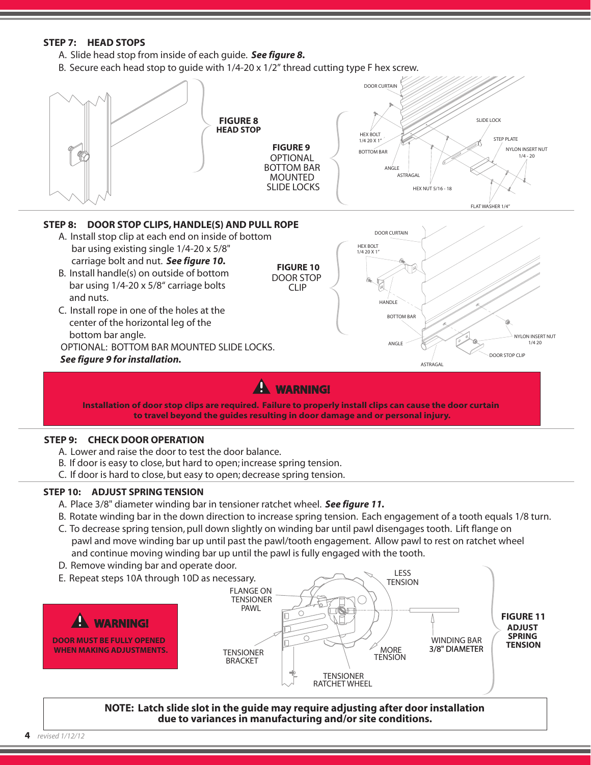#### **STEP 7: HEAD STOPS**

- A. Slide head stop from inside of each guide. *See figure 8.*
- B. Secure each head stop to quide with  $1/4$ -20 x  $1/2$ " thread cutting type F hex screw.



- A. Lower and raise the door to test the door balance.
- B. If door is easy to close, but hard to open; increase spring tension.
- C. If door is hard to close, but easy to open; decrease spring tension.

#### **STEP 10: ADJUST SPRING TENSION**

- A. Place 3/8" diameter winding bar in tensioner ratchet wheel. *See figure 11.*
- B. Rotate winding bar in the down direction to increase spring tension. Each engagement of a tooth equals 1/8 turn.
- C. To decrease spring tension, pull down slightly on winding bar until pawl disengages tooth. Lift flange on pawl and move winding bar up until past the pawl/tooth engagement. Allow pawl to rest on ratchet wheel and continue moving winding bar up until the pawl is fully engaged with the tooth.
- D. Remove winding bar and operate door.



**NOTE: Latch slide slot in the guide may require adjusting after door installation due to variances in manufacturing and/or site conditions.**

**4** *revised 1/12/12*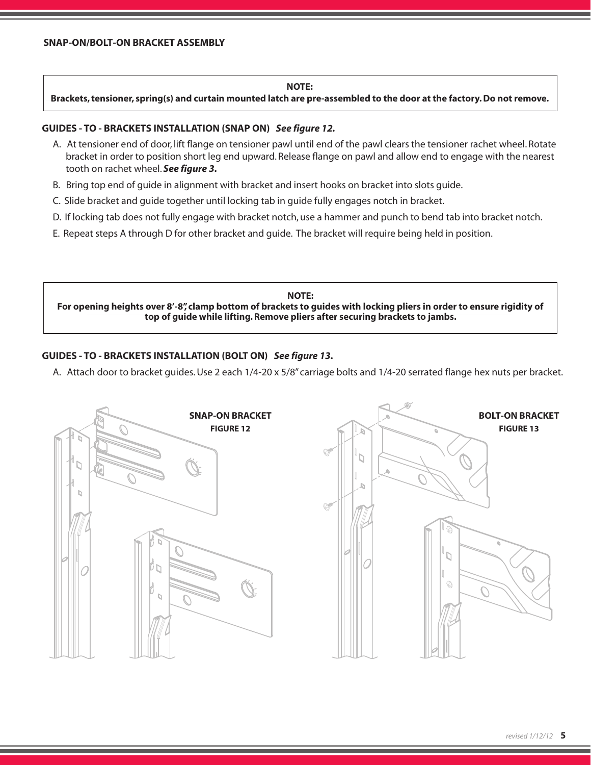#### **NOTE:**

**Brackets, tensioner, spring(s) and curtain mounted latch are pre-assembled to the door at the factory. Do not remove.**

#### **GUIDES - TO - BRACKETS INSTALLATION (SNAP ON)** *See figure 12.*

- A. At tensioner end of door, lift flange on tensioner pawl until end of the pawl clears the tensioner rachet wheel. Rotate bracket in order to position short leg end upward. Release flange on pawl and allow end to engage with the nearest tooth on rachet wheel. *See figure 3.*
- B. Bring top end of guide in alignment with bracket and insert hooks on bracket into slots guide.
- C. Slide bracket and guide together until locking tab in guide fully engages notch in bracket.
- D. If locking tab does not fully engage with bracket notch, use a hammer and punch to bend tab into bracket notch.
- E. Repeat steps A through D for other bracket and guide. The bracket will require being held in position.

**NOTE: For opening heights over 8'-8", clamp bottom of brackets to guides with locking pliers in order to ensure rigidity of top of guide while lifting. Remove pliers after securing brackets to jambs.**

#### **GUIDES - TO - BRACKETS INSTALLATION (BOLT ON)** *See figure 13.*

A. Attach door to bracket guides. Use 2 each 1/4-20 x 5/8" carriage bolts and 1/4-20 serrated flange hex nuts per bracket.